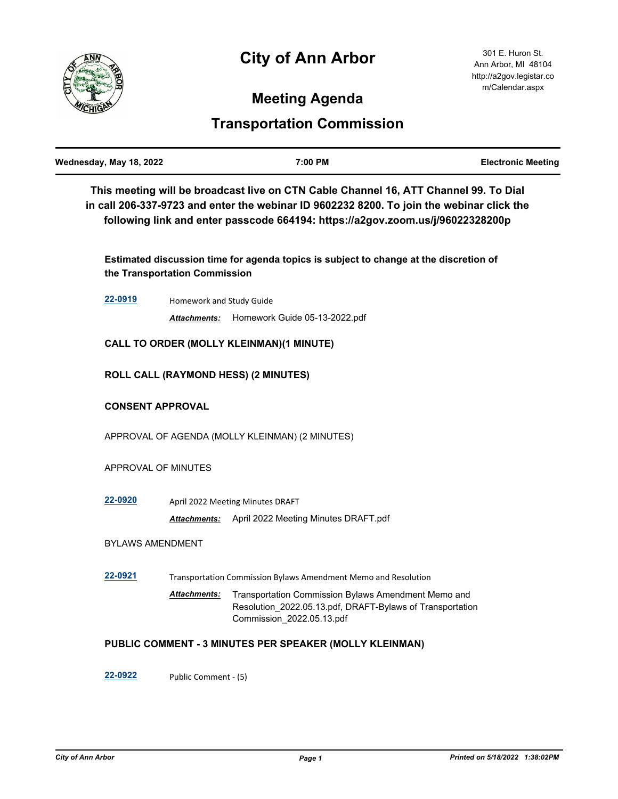# **City of Ann Arbor**



## **Meeting Agenda**

## **Transportation Commission**

| This meeting will be broadcast live on CTN Cable Channel 16, ATT Channel 99. To Dial<br>in call 206-337-9723 and enter the webinar ID 9602232 8200. To join the webinar click the<br>following link and enter passcode 664194: https://a2gov.zoom.us/j/96022328200p<br>Estimated discussion time for agenda topics is subject to change at the discretion of<br>the Transportation Commission<br>22-0919<br>Homework and Study Guide<br>Homework Guide 05-13-2022.pdf<br>Attachments:<br><b>CALL TO ORDER (MOLLY KLEINMAN)(1 MINUTE)</b><br><b>ROLL CALL (RAYMOND HESS) (2 MINUTES)</b><br><b>CONSENT APPROVAL</b><br>APPROVAL OF AGENDA (MOLLY KLEINMAN) (2 MINUTES)<br>APPROVAL OF MINUTES<br>22-0920<br>April 2022 Meeting Minutes DRAFT<br><b>Attachments:</b> April 2022 Meeting Minutes DRAFT.pdf<br><b>BYLAWS AMENDMENT</b><br>22-0921<br>Transportation Commission Bylaws Amendment Memo and Resolution<br>Transportation Commission Bylaws Amendment Memo and<br><b>Attachments:</b><br>Resolution_2022.05.13.pdf, DRAFT-Bylaws of Transportation<br>Commission 2022.05.13.pdf<br>PUBLIC COMMENT - 3 MINUTES PER SPEAKER (MOLLY KLEINMAN)<br>22-0922<br>Public Comment - (5) | Wednesday, May 18, 2022 |  | 7:00 PM | <b>Electronic Meeting</b> |  |
|---------------------------------------------------------------------------------------------------------------------------------------------------------------------------------------------------------------------------------------------------------------------------------------------------------------------------------------------------------------------------------------------------------------------------------------------------------------------------------------------------------------------------------------------------------------------------------------------------------------------------------------------------------------------------------------------------------------------------------------------------------------------------------------------------------------------------------------------------------------------------------------------------------------------------------------------------------------------------------------------------------------------------------------------------------------------------------------------------------------------------------------------------------------------------------------|-------------------------|--|---------|---------------------------|--|
|                                                                                                                                                                                                                                                                                                                                                                                                                                                                                                                                                                                                                                                                                                                                                                                                                                                                                                                                                                                                                                                                                                                                                                                       |                         |  |         |                           |  |
|                                                                                                                                                                                                                                                                                                                                                                                                                                                                                                                                                                                                                                                                                                                                                                                                                                                                                                                                                                                                                                                                                                                                                                                       |                         |  |         |                           |  |
|                                                                                                                                                                                                                                                                                                                                                                                                                                                                                                                                                                                                                                                                                                                                                                                                                                                                                                                                                                                                                                                                                                                                                                                       |                         |  |         |                           |  |
|                                                                                                                                                                                                                                                                                                                                                                                                                                                                                                                                                                                                                                                                                                                                                                                                                                                                                                                                                                                                                                                                                                                                                                                       |                         |  |         |                           |  |
|                                                                                                                                                                                                                                                                                                                                                                                                                                                                                                                                                                                                                                                                                                                                                                                                                                                                                                                                                                                                                                                                                                                                                                                       |                         |  |         |                           |  |
|                                                                                                                                                                                                                                                                                                                                                                                                                                                                                                                                                                                                                                                                                                                                                                                                                                                                                                                                                                                                                                                                                                                                                                                       |                         |  |         |                           |  |
|                                                                                                                                                                                                                                                                                                                                                                                                                                                                                                                                                                                                                                                                                                                                                                                                                                                                                                                                                                                                                                                                                                                                                                                       |                         |  |         |                           |  |
|                                                                                                                                                                                                                                                                                                                                                                                                                                                                                                                                                                                                                                                                                                                                                                                                                                                                                                                                                                                                                                                                                                                                                                                       |                         |  |         |                           |  |
|                                                                                                                                                                                                                                                                                                                                                                                                                                                                                                                                                                                                                                                                                                                                                                                                                                                                                                                                                                                                                                                                                                                                                                                       |                         |  |         |                           |  |
|                                                                                                                                                                                                                                                                                                                                                                                                                                                                                                                                                                                                                                                                                                                                                                                                                                                                                                                                                                                                                                                                                                                                                                                       |                         |  |         |                           |  |
|                                                                                                                                                                                                                                                                                                                                                                                                                                                                                                                                                                                                                                                                                                                                                                                                                                                                                                                                                                                                                                                                                                                                                                                       |                         |  |         |                           |  |
|                                                                                                                                                                                                                                                                                                                                                                                                                                                                                                                                                                                                                                                                                                                                                                                                                                                                                                                                                                                                                                                                                                                                                                                       |                         |  |         |                           |  |
|                                                                                                                                                                                                                                                                                                                                                                                                                                                                                                                                                                                                                                                                                                                                                                                                                                                                                                                                                                                                                                                                                                                                                                                       |                         |  |         |                           |  |
|                                                                                                                                                                                                                                                                                                                                                                                                                                                                                                                                                                                                                                                                                                                                                                                                                                                                                                                                                                                                                                                                                                                                                                                       |                         |  |         |                           |  |
|                                                                                                                                                                                                                                                                                                                                                                                                                                                                                                                                                                                                                                                                                                                                                                                                                                                                                                                                                                                                                                                                                                                                                                                       |                         |  |         |                           |  |
|                                                                                                                                                                                                                                                                                                                                                                                                                                                                                                                                                                                                                                                                                                                                                                                                                                                                                                                                                                                                                                                                                                                                                                                       |                         |  |         |                           |  |
|                                                                                                                                                                                                                                                                                                                                                                                                                                                                                                                                                                                                                                                                                                                                                                                                                                                                                                                                                                                                                                                                                                                                                                                       |                         |  |         |                           |  |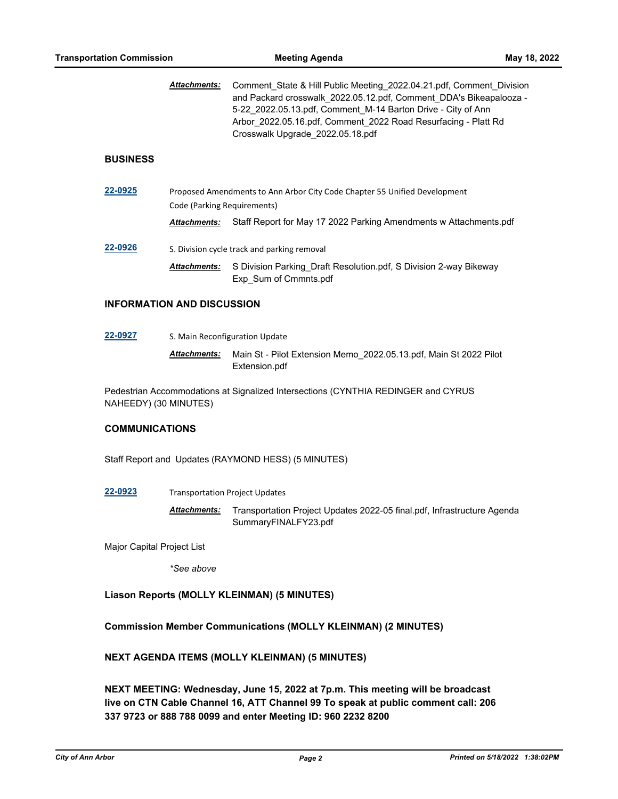Comment\_State & Hill Public Meeting\_2022.04.21.pdf, Comment\_Division and Packard crosswalk\_2022.05.12.pdf, Comment\_DDA's Bikeapalooza - 5-22 2022.05.13.pdf, Comment M-14 Barton Drive - City of Ann Arbor\_2022.05.16.pdf, Comment\_2022 Road Resurfacing - Platt Rd Crosswalk Upgrade\_2022.05.18.pdf *Attachments:*

#### **BUSINESS**

**[22-0925](http://a2gov.legistar.com/gateway.aspx?M=L&ID=30101)** Proposed Amendments to Ann Arbor City Code Chapter 55 Unified Development Code (Parking Requirements) *Attachments:* Staff Report for May 17 2022 Parking Amendments w Attachments.pdf **[22-0926](http://a2gov.legistar.com/gateway.aspx?M=L&ID=30102)** S. Division cycle track and parking removal

Attachments: S Division Parking\_Draft Resolution.pdf, S Division 2-way Bikeway Exp\_Sum of Cmmnts.pdf

#### **INFORMATION AND DISCUSSION**

**[22-0927](http://a2gov.legistar.com/gateway.aspx?M=L&ID=30103)** S. Main Reconfiguration Update Main St - Pilot Extension Memo\_2022.05.13.pdf, Main St 2022 Pilot Extension.pdf *Attachments:*

Pedestrian Accommodations at Signalized Intersections (CYNTHIA REDINGER and CYRUS NAHEEDY) (30 MINUTES)

### **COMMUNICATIONS**

Staff Report and Updates (RAYMOND HESS) (5 MINUTES)

**[22-0923](http://a2gov.legistar.com/gateway.aspx?M=L&ID=30099)** Transportation Project Updates

Transportation Project Updates 2022-05 final.pdf, Infrastructure Agenda SummaryFINALFY23.pdf *Attachments:*

Major Capital Project List

*\*See above*

### **Liason Reports (MOLLY KLEINMAN) (5 MINUTES)**

**Commission Member Communications (MOLLY KLEINMAN) (2 MINUTES)**

**NEXT AGENDA ITEMS (MOLLY KLEINMAN) (5 MINUTES)**

**NEXT MEETING: Wednesday, June 15, 2022 at 7p.m. This meeting will be broadcast live on CTN Cable Channel 16, ATT Channel 99 To speak at public comment call: 206 337 9723 or 888 788 0099 and enter Meeting ID: 960 2232 8200**